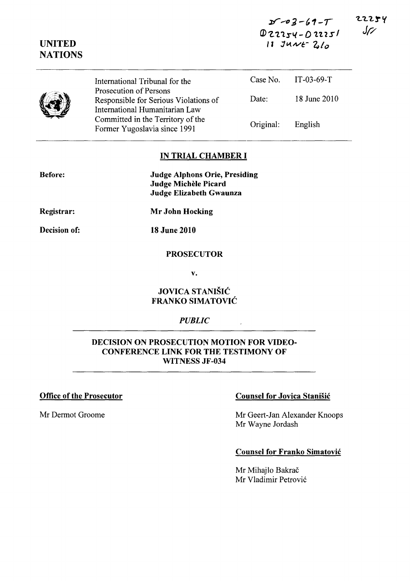$x - 3 - 69 - T$ ID 'Z. "l.1S'~ - *D* 1. 't **'251 " JIA.IVI:-** *'410* 

|    | International Tribunal for the                                                                           |           | Case No. $IT-03-69-T$ |
|----|----------------------------------------------------------------------------------------------------------|-----------|-----------------------|
| t) | <b>Prosecution of Persons</b><br>Responsible for Serious Violations of<br>International Humanitarian Law | Date:     | 18 June 2010          |
|    | Committed in the Territory of the<br>Former Yugoslavia since 1991                                        | Original: | English               |

#### **IN TRIAL CHAMBER I**

| <b>Judge Alphons Orie, Presiding</b> |
|--------------------------------------|
| Judge Michèle Picard                 |
| Judge Elizabeth Gwaunza              |

**Registrar:** 

**Before:** 

**UNITED NATIONS** 

**Decision of:** 

**Mr John Hocking** 

**18 June 2010** 

### **PROSECUTOR**

v.

# **JOVICA STANISIC FRANKO SIMATOVIC**

### *PUBLIC*

# **DECISION ON PROSECUTION MOTION FOR VIDEO-CONFERENCE LINK FOR THE TESTIMONY OF WITNESS JF -034**

## **Office of the Prosecutor Counsel for Jovica Stanisic Counsel for Jovica Stanisic**

Mr Dermot Groome Mr Geert-Jan Alexander Knoops Mr Wayne lordash

#### **Counsel for Franko Simatovic**

Mr Mihajlo Bakrač Mr Vladimir Petrovic 22254  $J$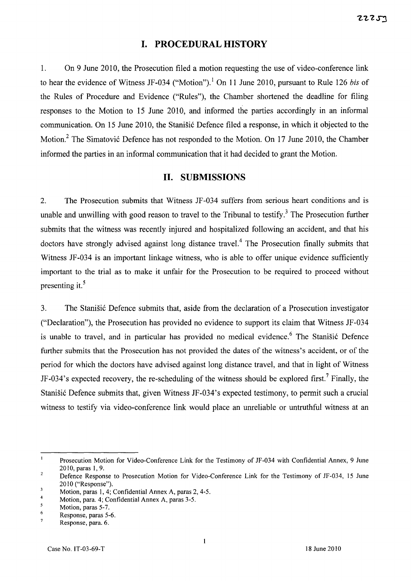## **I. PROCEDURAL HISTORY**

1. On 9 June 2010, the Prosecution filed a motion requesting the use of video-conference link to hear the evidence of Witness JF -034 ("Motion"). I On 11 June 2010, pursuant to Rule 126 *bis* of the Rules of Procedure and Evidence ("Rules"), the Chamber shortened the deadline for filing responses to the Motion to 15 June 2010, and informed the parties accordingly in an informal communication. On 15 June 2010, the Stanišić Defence filed a response, in which it objected to the Motion.<sup>2</sup> The Simatović Defence has not responded to the Motion. On 17 June 2010, the Chamber informed the parties in an informal communication that it had decided to grant the Motion.

# **11. SUBMISSIONS**

2. The Prosecution submits that Witness JF -034 suffers from serious heart conditions and is unable and unwilling with good reason to travel to the Tribunal to testify.<sup>3</sup> The Prosecution further submits that the witness was recently injured and hospitalized following an accident, and that his doctors have strongly advised against long distance travel.<sup>4</sup> The Prosecution finally submits that Witness JF-034 is an important linkage witness, who is able to offer unique evidence sufficiently important to the trial as to make it unfair for the Prosecution to be required to proceed without presenting it.<sup>5</sup>

3. The Stanisic Defence submits that, aside from the declaration of a Prosecution investigator ("Declaration"), the Prosecution has provided no evidence to support its claim that Witness JF-034 is unable to travel, and in particular has provided no medical evidence.<sup>6</sup> The Stanišić Defence further submits that the Prosecution has not provided the dates of the witness's accident, or of the period for which the doctors have advised against long distance travel, and that in light of Witness JF-034's expected recovery, the re-scheduling of the witness should be explored first.<sup>7</sup> Finally, the Stanišić Defence submits that, given Witness JF-034's expected testimony, to permit such a crucial witness to testify via video-conference link would place an unreliable or untruthful witness at an

 $\mathbf{I}$ Prosecution Motion for Video-Conference Link for the Testimony of JF-034 with Confidential Annex, 9 June 2010, paras 1,9.

 $\overline{a}$ Defence Response to Prosecution Motion for Video-Conference Link for the Testimony of JF-034, 15 June 2010 ("Response").

 $\overline{\mathbf{3}}$ Motion, paras 1,4; Confidential Annex A, paras 2, 4-5.

<sup>4</sup>  Motion, para. 4; Confidential Annex A, paras 3-5.

 $\overline{\mathbf{5}}$ Motion, paras 5-7.

<sup>6</sup>  7 Response, paras 5-6.

Response, para. 6.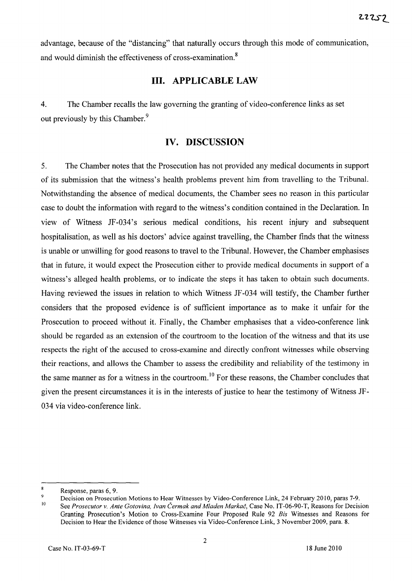advantage, because of the "distancing" that naturally occurs through this mode of communication, and would diminish the effectiveness of cross-examination.<sup>8</sup>

# **Ill. APPLICABLE LAW**

4. The Chamber recalls the law governing the granting of video-conference links as set out previously by this Chamber.<sup>9</sup>

# **IV. DISCUSSION**

5. The Chamber notes that the Prosecution has not provided any medical documents in support of its submission that the witness's health problems prevent him from travelling to the Tribunal. Notwithstanding the absence of medical documents, the Chamber sees no reason in this particular case to doubt the information with regard to the witness's condition contained in the Declaration. In view of Witness JF-034's serious medical conditions, his recent injury and subsequent hospitalisation, as well as his doctors' advice against travelling, the Chamber finds that the witness is unable or unwilling for good reasons to travel to the Tribunal. However, the Chamber emphasises that in future, it would expect the Prosecution either to provide medical documents in support of a witness's alleged health problems, or to indicate the steps it has taken to obtain such documents. Having reviewed the issues in relation to which Witness JF-034 will testify, the Chamber further considers that the proposed evidence is of sufficient importance as to make it unfair for the Prosecution to proceed without it. Finally, the Chamber emphasises that a video-conference link should be regarded as an extension of the courtroom to the location of the witness and that its use respects the right of the accused to cross-examine and directly confront witnesses while observing their reactions, and allows the Chamber to assess the credibility and reliability of the testimony in the same manner as for a witness in the courtroom.<sup>10</sup> For these reasons, the Chamber concludes that given the present circumstances it is in the interests of justice to hear the testimony of Witness JF-034 via video-conference link.

 $\overline{\mathbf{8}}$ Response, paras 6, 9.

<sup>9</sup>  10 Decision on Prosecution Motions to Hear Witnesses by Video-Conference Link, 24 February 2010, paras 7-9. See *Prosecutor* v. *Ante Gotovina, /van Cermak and Mladen Markac,* Case No. IT-06-90-T, Reasons for Decision Granting Prosecution's Motion to Cross-Examine Four Proposed Rule 92 *Bis* Witnesses and Reasons for Decision to Hear the Evidence of those Witnesses via Video-Conference Link, 3 November 2009, para. 8.